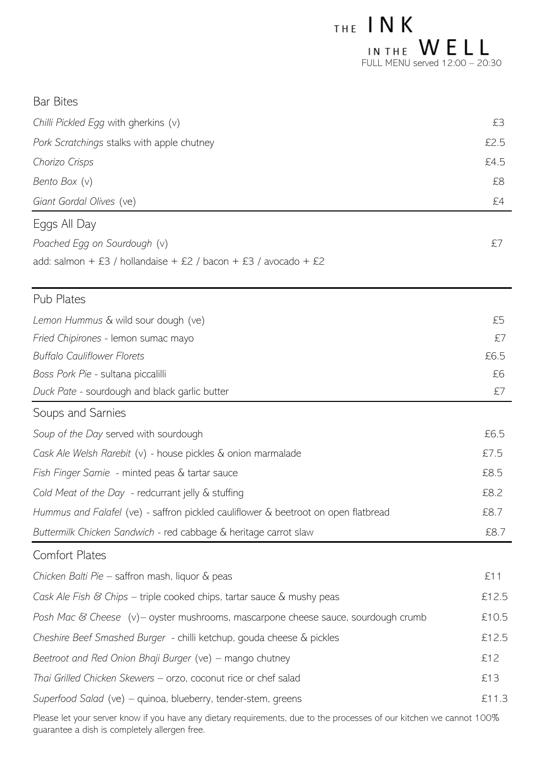| $THE$ INK                        |  |  |
|----------------------------------|--|--|
| IN THE WELL                      |  |  |
| FULL MENU served $12:00 - 20:30$ |  |  |

| <b>Bar Bites</b>                                                                   |       |  |
|------------------------------------------------------------------------------------|-------|--|
| Chilli Pickled Egg with gherkins (v)                                               | £3    |  |
| Pork Scratchings stalks with apple chutney                                         | £2.5  |  |
| Chorizo Crisps                                                                     | £4.5  |  |
| Bento Box (v)                                                                      | £8    |  |
| Giant Gordal Olives (ve)                                                           | £4    |  |
| Eggs All Day                                                                       |       |  |
| Poached Egg on Sourdough (v)                                                       | £7    |  |
| add: salmon + £3 / hollandaise + £2 / bacon + £3 / avocado + £2                    |       |  |
| <b>Pub Plates</b>                                                                  |       |  |
| Lemon Hummus & wild sour dough (ve)                                                | £5    |  |
| Fried Chipirones - lemon sumac mayo                                                | £7    |  |
| <b>Buffalo Cauliflower Florets</b>                                                 | £6.5  |  |
| Boss Pork Pie - sultana piccalilli                                                 | £6    |  |
| Duck Pate - sourdough and black garlic butter                                      | £7    |  |
| Soups and Sarnies                                                                  |       |  |
| Soup of the Day served with sourdough                                              | £6.5  |  |
| Cask Ale Welsh Rarebit (v) - house pickles & onion marmalade                       | £7.5  |  |
| Fish Finger Sarnie - minted peas & tartar sauce                                    | £8.5  |  |
| Cold Meat of the Day - redcurrant jelly & stuffing                                 | £8.2  |  |
| Hummus and Falafel (ve) - saffron pickled cauliflower & beetroot on open flatbread | £8.7  |  |
| Buttermilk Chicken Sandwich - red cabbage & heritage carrot slaw                   | £8.7  |  |
| <b>Comfort Plates</b>                                                              |       |  |
| Chicken Balti Pie – saffron mash, liquor & peas                                    | £11   |  |
| Cask Ale Fish & Chips - triple cooked chips, tartar sauce & mushy peas             | £12.5 |  |
| Posh Mac & Cheese (v) – oyster mushrooms, mascarpone cheese sauce, sourdough crumb | £10.5 |  |
| Cheshire Beef Smashed Burger - chilli ketchup, gouda cheese & pickles              | £12.5 |  |
| Beetroot and Red Onion Bhaji Burger (ve) – mango chutney                           |       |  |
| Thai Grilled Chicken Skewers - orzo, coconut rice or chef salad                    | £13   |  |
| Superfood Salad (ve) - quinoa, blueberry, tender-stem, greens                      | £11.3 |  |

Please let your server know if you have any dietary requirements, due to the processes of our kitchen we cannot 100% guarantee a dish is completely allergen free.